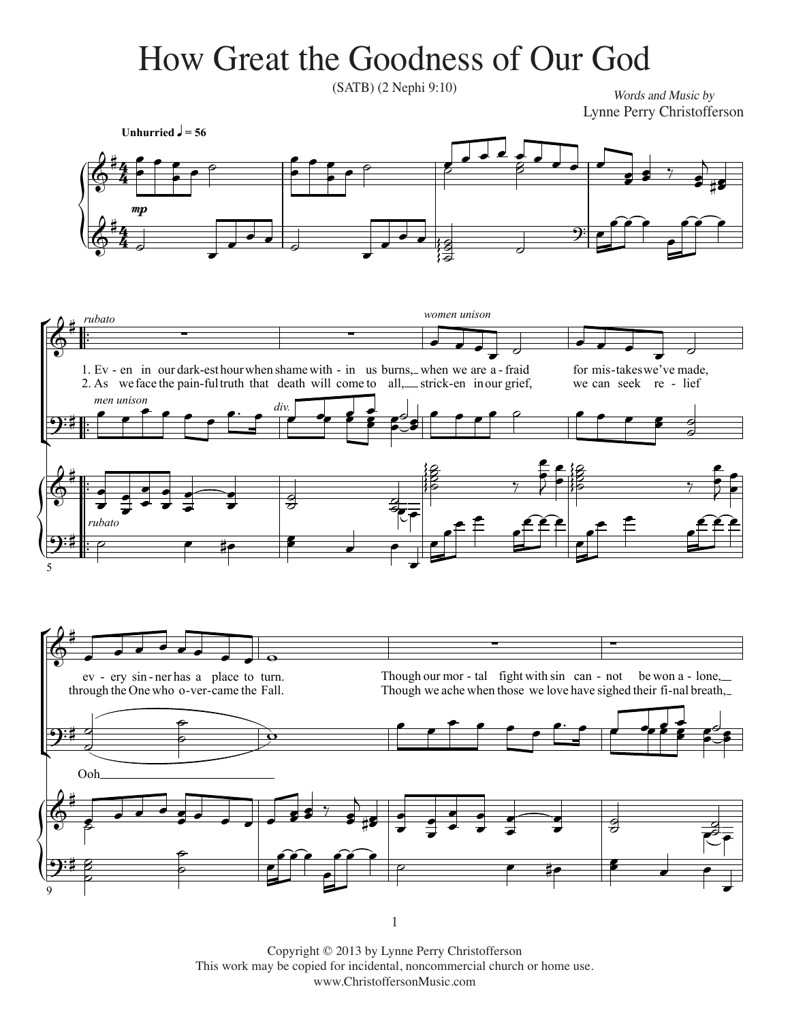## $\sigma$  die  $\sigma$  of  $\sigma$  of  $\sigma$ How Great the Goodness of Our God

 $(SATB)$  (2 Nephi 9:10)

*Words and Music by* Lynne Perry Christofferson Lynne Perry Christofferson



Copyright © 2013 by Lynne Perry Christofferson This work may be copied for incidental, noncommercial church or home use. www.ChristoffersonMusic.com

 $\Gamma$  2013 by Lynne Perry Christoffers on  $\Gamma$ 

1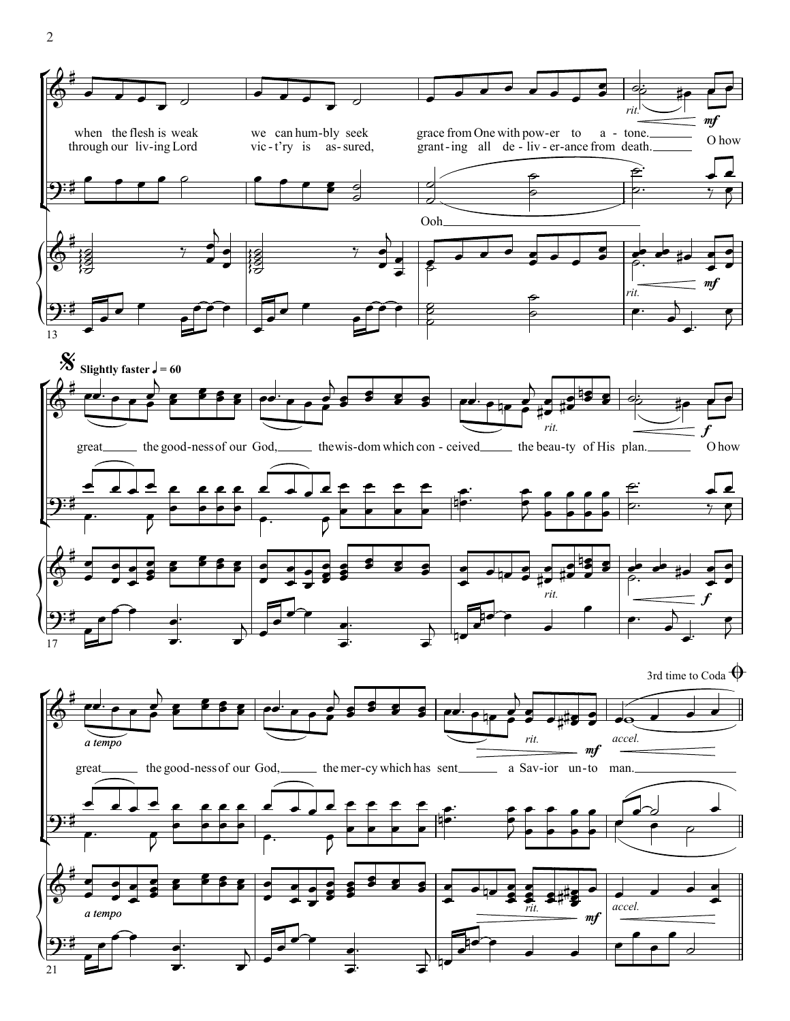

 $\overline{2}$